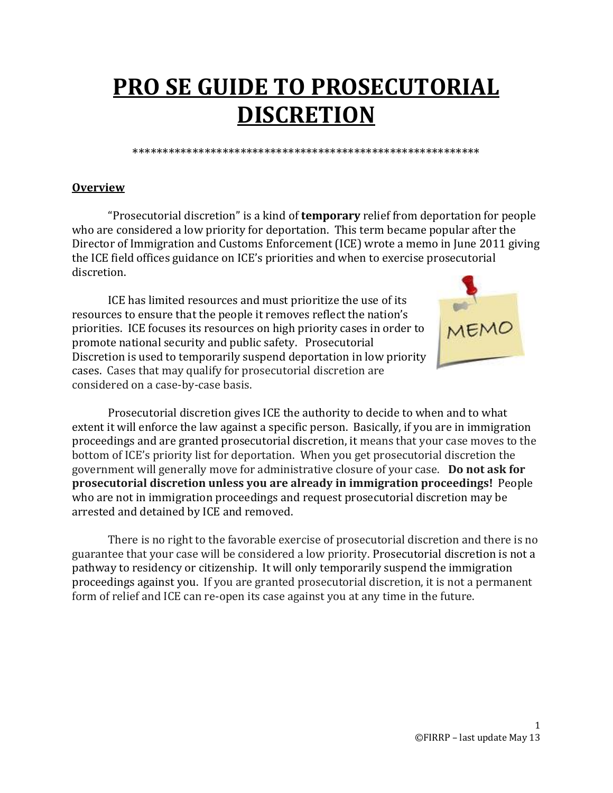# **PRO SE GUIDE TO PROSECUTORIAL DISCRETION**

\*\*\*\*\*\*\*\*\*\*\*\*\*\*\*\*\*\*\*\*\*\*\*\*\*\*\*\*\*\*\*\*\*\*\*\*\*\*\*\*\*\*\*\*\*\*\*\*\*\*\*\*\*\*\*\*\*\*

### **Overview**

"Prosecutorial discretion" is a kind of **temporary** relief from deportation for people who are considered a low priority for deportation. This term became popular after the Director of Immigration and Customs Enforcement (ICE) wrote a memo in June 2011 giving the ICE field offices guidance on ICE's priorities and when to exercise prosecutorial discretion.

ICE has limited resources and must prioritize the use of its resources to ensure that the people it removes reflect the nation's priorities. ICE focuses its resources on high priority cases in order to promote national security and public safety. Prosecutorial Discretion is used to temporarily suspend deportation in low priority cases. Cases that may qualify for prosecutorial discretion are considered on a case-by-case basis.



Prosecutorial discretion gives ICE the authority to decide to when and to what extent it will enforce the law against a specific person. Basically, if you are in immigration proceedings and are granted prosecutorial discretion, it means that your case moves to the bottom of ICE's priority list for deportation. When you get prosecutorial discretion the government will generally move for administrative closure of your case. **Do not ask for prosecutorial discretion unless you are already in immigration proceedings!** People who are not in immigration proceedings and request prosecutorial discretion may be arrested and detained by ICE and removed.

There is no right to the favorable exercise of prosecutorial discretion and there is no guarantee that your case will be considered a low priority. Prosecutorial discretion is not a pathway to residency or citizenship. It will only temporarily suspend the immigration proceedings against you. If you are granted prosecutorial discretion, it is not a permanent form of relief and ICE can re-open its case against you at any time in the future.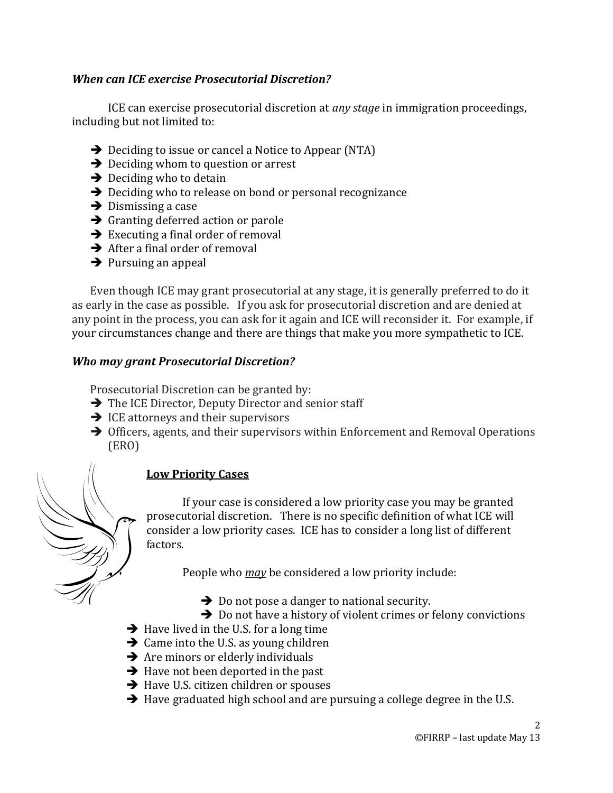#### *When can ICE exercise Prosecutorial Discretion?*

ICE can exercise prosecutorial discretion at *any stage* in immigration proceedings, including but not limited to:

- $\rightarrow$  Deciding to issue or cancel a Notice to Appear (NTA)
- $\rightarrow$  Deciding whom to question or arrest
- $\rightarrow$  Deciding who to detain
- $\rightarrow$  Deciding who to release on bond or personal recognizance
- $\rightarrow$  Dismissing a case
- $\rightarrow$  Granting deferred action or parole
- $\rightarrow$  Executing a final order of removal
- $\rightarrow$  After a final order of removal
- $\rightarrow$  Pursuing an appeal

Even though ICE may grant prosecutorial at any stage, it is generally preferred to do it as early in the case as possible. If you ask for prosecutorial discretion and are denied at any point in the process, you can ask for it again and ICE will reconsider it. For example, if your circumstances change and there are things that make you more sympathetic to ICE.

#### *Who may grant Prosecutorial Discretion?*

Prosecutorial Discretion can be granted by:

- $\rightarrow$  The ICE Director, Deputy Director and senior staff
- $\rightarrow$  ICE attorneys and their supervisors
- $\rightarrow$  Officers, agents, and their supervisors within Enforcement and Removal Operations (ERO)

# **Low Priority Cases**

If your case is considered a low priority case you may be granted prosecutorial discretion. There is no specific definition of what ICE will consider a low priority cases. ICE has to consider a long list of different factors.

People who *may* be considered a low priority include:

- $\rightarrow$  Do not pose a danger to national security.
- $\rightarrow$  Do not have a history of violent crimes or felony convictions
- $\rightarrow$  Have lived in the U.S. for a long time
- $\rightarrow$  Came into the U.S. as young children
- $\rightarrow$  Are minors or elderly individuals
- $\rightarrow$  Have not been deported in the past
- $\rightarrow$  Have U.S. citizen children or spouses
- $\rightarrow$  Have graduated high school and are pursuing a college degree in the U.S.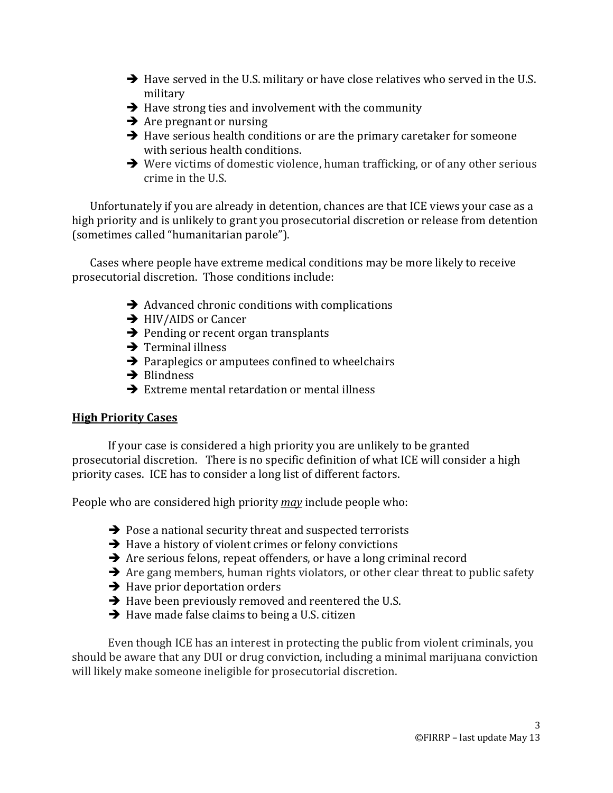- $\rightarrow$  Have served in the U.S. military or have close relatives who served in the U.S. military
- $\rightarrow$  Have strong ties and involvement with the community
- $\rightarrow$  Are pregnant or nursing
- $\rightarrow$  Have serious health conditions or are the primary caretaker for someone with serious health conditions.
- → Were victims of domestic violence, human trafficking, or of any other serious crime in the U.S.

Unfortunately if you are already in detention, chances are that ICE views your case as a high priority and is unlikely to grant you prosecutorial discretion or release from detention (sometimes called "humanitarian parole").

Cases where people have extreme medical conditions may be more likely to receive prosecutorial discretion. Those conditions include:

- $\rightarrow$  Advanced chronic conditions with complications
- → HIV/AIDS or Cancer
- $\rightarrow$  Pending or recent organ transplants
- $\rightarrow$  Terminal illness
- $\rightarrow$  Paraplegics or amputees confined to wheelchairs
- $\rightarrow$  Blindness
- $\rightarrow$  Extreme mental retardation or mental illness

### **High Priority Cases**

If your case is considered a high priority you are unlikely to be granted prosecutorial discretion. There is no specific definition of what ICE will consider a high priority cases. ICE has to consider a long list of different factors.

People who are considered high priority *may* include people who:

- $\rightarrow$  Pose a national security threat and suspected terrorists
- $\rightarrow$  Have a history of violent crimes or felony convictions
- $\rightarrow$  Are serious felons, repeat offenders, or have a long criminal record
- $\rightarrow$  Are gang members, human rights violators, or other clear threat to public safety
- $\rightarrow$  Have prior deportation orders
- $\rightarrow$  Have been previously removed and reentered the U.S.
- $\rightarrow$  Have made false claims to being a U.S. citizen

Even though ICE has an interest in protecting the public from violent criminals, you should be aware that any DUI or drug conviction, including a minimal marijuana conviction will likely make someone ineligible for prosecutorial discretion.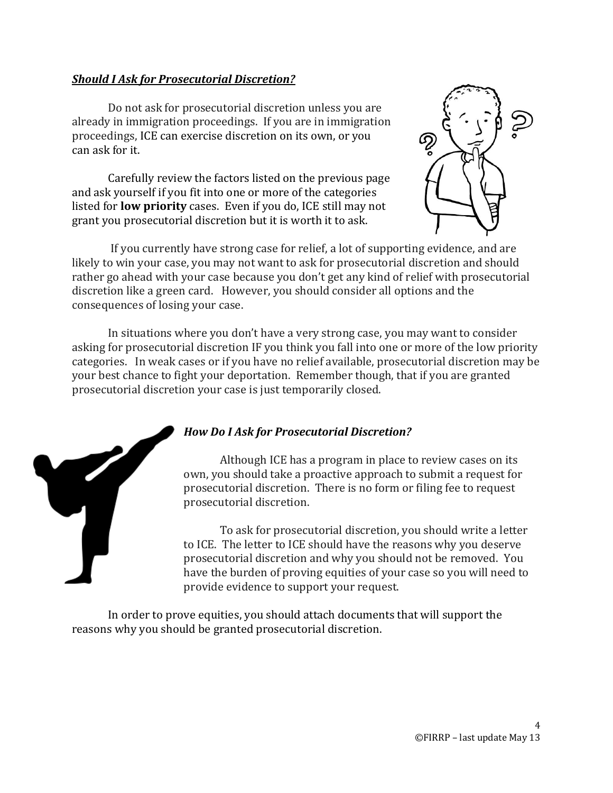#### *Should I Ask for Prosecutorial Discretion?*

Do not ask for prosecutorial discretion unless you are already in immigration proceedings. If you are in immigration proceedings, ICE can exercise discretion on its own, or you can ask for it.

Carefully review the factors listed on the previous page and ask yourself if you fit into one or more of the categories listed for **low priority** cases. Even if you do, ICE still may not grant you prosecutorial discretion but it is worth it to ask.



If you currently have strong case for relief, a lot of supporting evidence, and are likely to win your case, you may not want to ask for prosecutorial discretion and should rather go ahead with your case because you don't get any kind of relief with prosecutorial discretion like a green card. However, you should consider all options and the consequences of losing your case.

In situations where you don't have a very strong case, you may want to consider asking for prosecutorial discretion IF you think you fall into one or more of the low priority categories. In weak cases or if you have no relief available, prosecutorial discretion may be your best chance to fight your deportation. Remember though, that if you are granted prosecutorial discretion your case is just temporarily closed.



## *How Do I Ask for Prosecutorial Discretion?*

Although ICE has a program in place to review cases on its own, you should take a proactive approach to submit a request for prosecutorial discretion. There is no form or filing fee to request prosecutorial discretion.

To ask for prosecutorial discretion, you should write a letter to ICE. The letter to ICE should have the reasons why you deserve prosecutorial discretion and why you should not be removed. You have the burden of proving equities of your case so you will need to provide evidence to support your request.

In order to prove equities, you should attach documents that will support the reasons why you should be granted prosecutorial discretion.